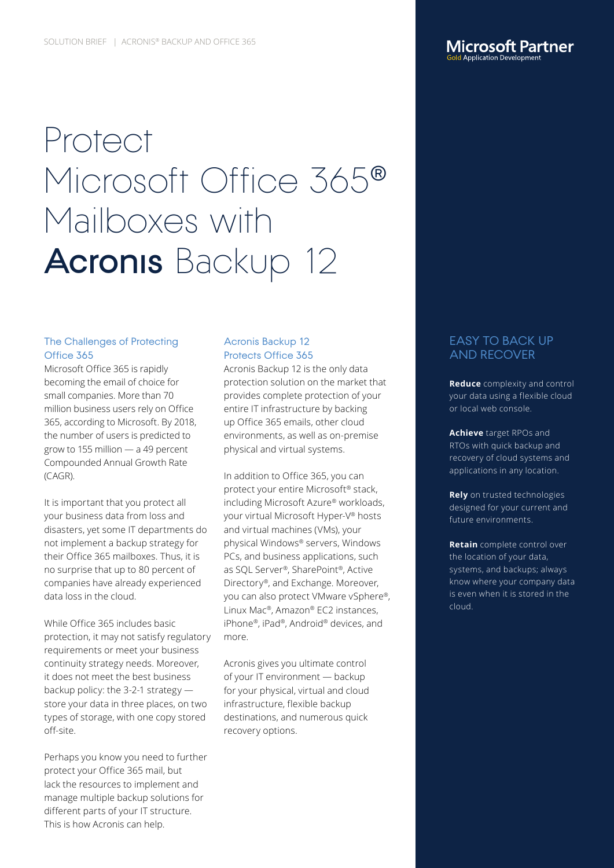# Protect Microsoft Office 365<sup>®</sup> Mailboxes with **Acronis Backup 12**

# The Challenges of Protecting Office 365

Microsoft Office 365 is rapidly becoming the email of choice for small companies. More than 70 million business users rely on Office 365, according to Microsoft. By 2018, the number of users is predicted to grow to 155 million — a 49 percent Compounded Annual Growth Rate (CAGR).

It is important that you protect all your business data from loss and disasters, yet some IT departments do not implement a backup strategy for their Office 365 mailboxes. Thus, it is no surprise that up to 80 percent of companies have already experienced data loss in the cloud.

While Office 365 includes basic protection, it may not satisfy regulatory requirements or meet your business continuity strategy needs. Moreover, it does not meet the best business backup policy: the 3-2-1 strategy store your data in three places, on two types of storage, with one copy stored off-site.

Perhaps you know you need to further protect your Office 365 mail, but lack the resources to implement and manage multiple backup solutions for different parts of your IT structure. This is how Acronis can help.

## Acronis Backup 12 Protects Office 365

Acronis Backup 12 is the only data protection solution on the market that provides complete protection of your entire IT infrastructure by backing up Office 365 emails, other cloud environments, as well as on-premise physical and virtual systems.

In addition to Office 365, you can protect your entire Microsoft® stack, including Microsoft Azure® workloads, your virtual Microsoft Hyper-V® hosts and virtual machines (VMs), your physical Windows® servers, Windows PCs, and business applications, such as SQL Server®, SharePoint®, Active Directory®, and Exchange. Moreover, you can also protect VMware vSphere®, Linux Mac®, Amazon® EC2 instances, iPhone®, iPad®, Android® devices, and more.

Acronis gives you ultimate control of your IT environment — backup for your physical, virtual and cloud infrastructure, flexible backup destinations, and numerous quick recovery options.

# EASY TO BACK UP AND RECOVER

**Microsoft Partner** d Application Developm

**Reduce** complexity and control your data using a flexible cloud or local web console.

**Achieve** target RPOs and RTOs with quick backup and recovery of cloud systems and applications in any location.

**Rely** on trusted technologies designed for your current and future environments.

**Retain** complete control over the location of your data, systems, and backups; always know where your company data is even when it is stored in the cloud.